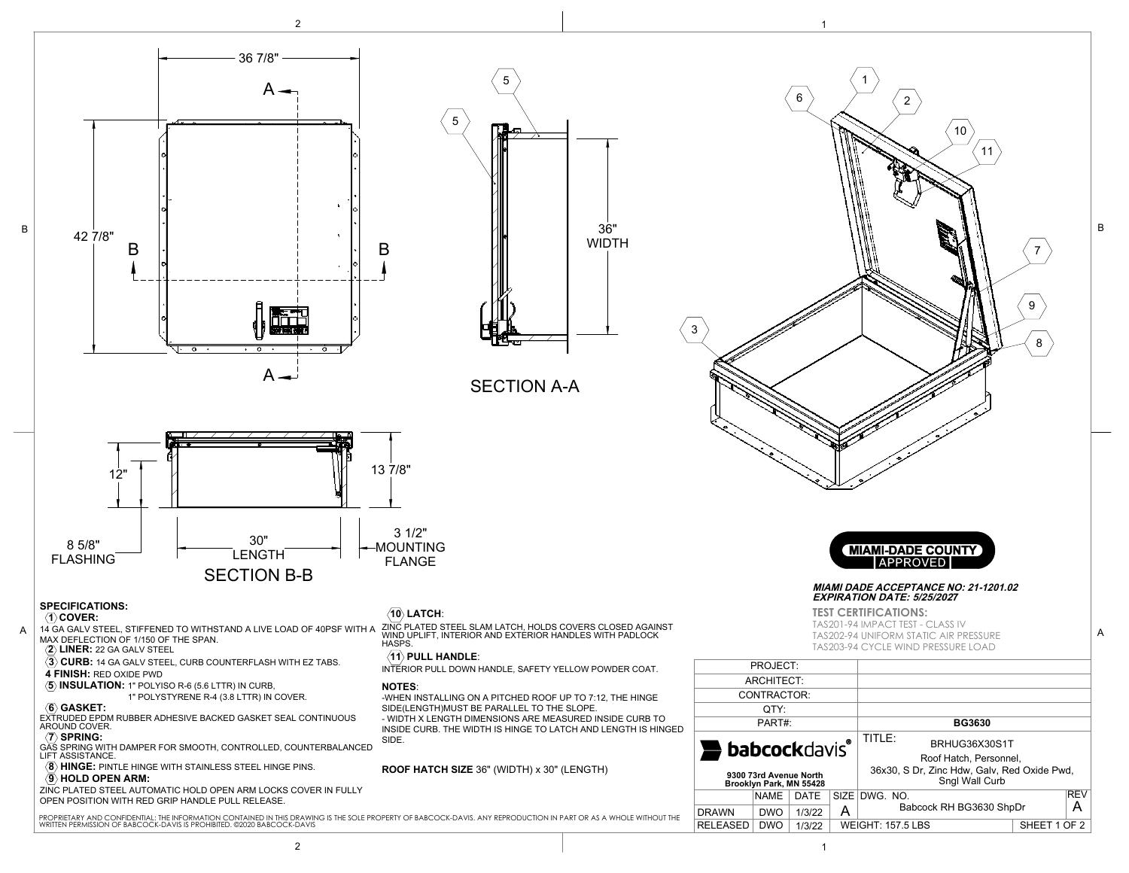



B

36" WIDTH



## **MIAMI DADE ACCEPTANCE NO: 21-1201.02 EXPIRATION DATE: 5/25/202***7*

**TEST CERTIFICATIONS:** 

TAS201-94 IMPACT TEST - CLASS IV TAS202-94 UNIFORM STATIC AIR PRESSURE TAS203-94 CYCLE WIND PRESSURE LOAD

| PROJECT:                                          |             |        |                   |                                                               |              |                 |
|---------------------------------------------------|-------------|--------|-------------------|---------------------------------------------------------------|--------------|-----------------|
| ARCHITECT:                                        |             |        |                   |                                                               |              |                 |
| CONTRACTOR:                                       |             |        |                   |                                                               |              |                 |
| OTY:                                              |             |        |                   |                                                               |              |                 |
| PART#:                                            |             |        |                   | <b>BG3630</b>                                                 |              |                 |
| <b>babcockdavis®</b>                              |             |        |                   | $TITI F+$<br>BRHUG36X30S1T<br>Roof Hatch, Personnel.          |              |                 |
| 9300 73rd Avenue North<br>Brooklyn Park, MN 55428 |             |        |                   | 36x30, S Dr, Zinc Hdw, Galv, Red Oxide Pwd,<br>Sngl Wall Curb |              |                 |
|                                                   | <b>NAME</b> | DATE   | SIZE <sup>1</sup> | DWG. NO.                                                      |              | <b>REV</b><br>А |
| <b>DRAWN</b>                                      | <b>DWO</b>  | 1/3/22 | А                 | Babcock RH BG3630 ShpDr                                       |              |                 |
| <b>RELEASED</b>                                   | <b>DWO</b>  | 1/3/22 |                   | <b>WEIGHT: 157.5 LBS</b>                                      | SHEET 1 OF 2 |                 |